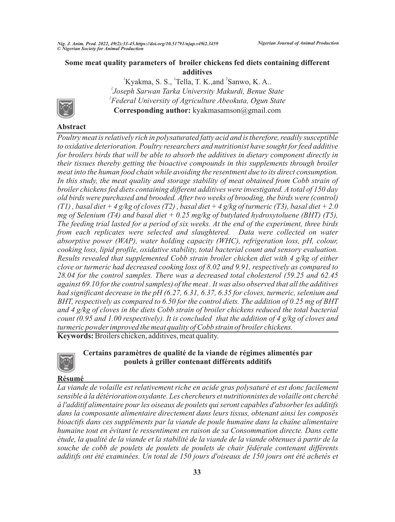${}^{1}$ Kyakma, S. S.,  ${}^{1}$ Tella, T. K.,and  ${}^{2}$ Sanwo, K. A.. *1 Joseph Sarwan Tarka University Makurdi, Benue State 2 Federal University of Agriculture Abeokuta, Ogun State* **Corresponding author:** kyakmasamson@gmail.com



# **Abstract**

*Poultry meat is relatively rich in polysaturated fatty acid and is therefore, readily susceptible to oxidative deterioration. Poultry researchers and nutritionist have sought for feed additive for broilers birds that will be able to absorb the additives in dietary component directly in their tissues thereby getting the bioactive compounds in this supplements through broiler meat into the human food chain while avoiding the resentment due to its direct consumption.*  In this study, the meat quality and storage stability of meat obtained from Cobb strain of *broiler chickens fed diets containing different additives were investigated. A total of 150 day old birds were purchased and brooded. After two weeks of brooding, the birds were (control) (T1) , basal diet + 4 g/kg of cloves (T2) , basal diet + 4 g/kg of turmeric (T3), basal diet + 2.0 mg of Selenium (T4) and basal diet + 0.25 mg/kg of butylated hydroxytoluene (BHT) (T5), The feeding trial lasted for a period of six weeks. At the end of the experiment, three birds from each replicates were selected and slaughtered. Data were collected on water absorptive power (WAP), water holding capacity (WHC), refrigeration loss, pH, colour, cooking loss, lipid profile, oxidative stability, total bacterial count and sensory evaluation. Results revealed that supplemented Cobb strain broiler chicken diet with 4 g/kg of either clove or turmeric had decreased cooking loss of 8.02 and 9.91, respectively as compared to 28.04 for the control samples. There was a decreased total cholesterol (59.25 and 62.45 against 69.10 for the control samples) of the meat . It was also observed that all the additives had significant decrease in the pH (6.27, 6.31, 6.37, 6.35 for cloves, turmeric, selenium and BHT, respectively as compared to 6.50 for the control diets. The addition of 0.25 mg of BHT and 4 g/kg of cloves in the diets Cobb strain of broiler chickens reduced the total bacterial count (0.95 and 1.00 respectively). It is concluded that the addition of 4 g/kg of cloves and turmeric powder improved the meat quality of Cobb strain of broiler chickens.*

**Keywords:** Broilers chicken, additives, meat quality.



# **Certains paramètres de qualité de la viande de régimes alimentés par poulets à griller contenant différents additifs**

# **Résumé**

*La viande de volaille est relativement riche en acide gras polysaturé et est donc facilement sensible à la détérioration oxydante. Les chercheurs et nutritionnistes de volaille ont cherché à l'additif alimentaire pour les oiseaux de poulets qui seront capables d'absorber les additifs dans la composante alimentaire directement dans leurs tissus, obtenant ainsi les composés bioactifs dans ces suppléments par la viande de poule humaine dans la chaîne alimentaire humaine tout en évitant le ressentiment en raison de sa Consommation directe. Dans cette étude, la qualité de la viande et la stabilité de la viande de la viande obtenues à partir de la souche de cobb de poulets de poulets de poulets de chair fédérale contenant différents additifs ont été examinées. Un total de 150 jours d'oiseaux de 150 jours ont été achetés et*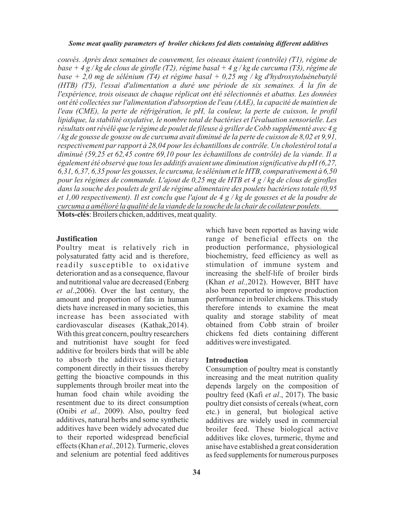*couvés. Après deux semaines de couvement, les oiseaux étaient (contrôle) (T1), régime de base + 4 g / kg de clous de girofle (T2), régime basal + 4 g / kg de curcuma (T3), régime de base + 2,0 mg de sélénium (T4) et régime basal + 0,25 mg / kg d'hydroxytoluènebutylé (HTB) (T5), l'essai d'alimentation a duré une période de six semaines. À la fin de l'expérience, trois oiseaux de chaque réplicat ont été sélectionnés et abattus. Les données ont été collectées sur l'alimentation d'absorption de l'eau (AAE), la capacité de maintien de l'eau (CME), la perte de réfrigération, le pH, la couleur, la perte de cuisson, le profil lipidique, la stabilité oxydative, le nombre total de bactéries et l'évaluation sensorielle. Les résultats ont révélé que le régime de poulet de fileuse à griller de Cobb supplémenté avec 4 g / kg de gousse de gousse ou de curcuma avait diminué de la perte de cuisson de 8,02 et 9,91, respectivement par rapport à 28,04 pour les échantillons de contrôle. Un cholestérol total a diminué (59,25 et 62,45 contre 69,10 pour les échantillons de contrôle) de la viande. Il a également été observé que tous les additifs avaient une diminution significative du pH (6,27, 6,31, 6,37, 6,35 pour les gousses, le curcuma, le sélénium et le HTB, comparativement à 6,50 pour les régimes de commande. L'ajout de 0,25 mg de HTB et 4 g / kg de clous de girofles dans la souche des poulets de gril de régime alimentaire des poulets bactériens totale (0,95 et 1,00 respectivement). Il est conclu que l'ajout de 4 g / kg de gousses et de la poudre de curcuma a amélioré la qualité de la viande de la souche de la chair de coilateur poulets.*

**Mots-clés**: Broilers chicken, additives, meat quality.

#### **Justification**

Poultry meat is relatively rich in polysaturated fatty acid and is therefore, readily susceptible to oxidative deterioration and as a consequence, flavour and nutritional value are decreased (Enberg *et al*.,2006). Over the last century, the amount and proportion of fats in human diets have increased in many societies, this increase has been associated with cardiovascular diseases (Kathak,2014). With this great concern, poultry researchers and nutritionist have sought for feed additive for broilers birds that will be able to absorb the additives in dietary component directly in their tissues thereby getting the bioactive compounds in this supplements through broiler meat into the human food chain while avoiding the resentment due to its direct consumption (Onibi *et al.,* 2009). Also, poultry feed additives, natural herbs and some synthetic additives have been widely advocated due to their reported widespread beneficial effects (Khan *et al.,*2012). Turmeric, cloves and selenium are potential feed additives

which have been reported as having wide range of beneficial effects on the production performance, physiological biochemistry, feed efficiency as well as stimulation of immune system and increasing the shelf-life of broiler birds (Khan *et al.,*2012). However, BHT have also been reported to improve production performance in broiler chickens. This study therefore intends to examine the meat quality and storage stability of meat obtained from Cobb strain of broiler chickens fed diets containing different additives were investigated.

#### **Introduction**

Consumption of poultry meat is constantly increasing and the meat nutrition quality depends largely on the composition of poultry feed (Kafi *et al*., 2017). The basic poultry diet consists of cereals (wheat, corn etc.) in general, but biological active additives are widely used in commercial broiler feed. These biological active additives like cloves, turmeric, thyme and anise have established a great consideration as feed supplements for numerous purposes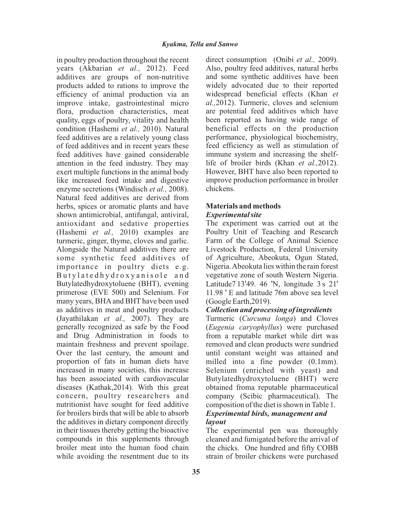in poultry production throughout the recent years (Akbarian *et al.,* 2012). Feed additives are groups of non-nutritive products added to rations to improve the efficiency of animal production via an improve intake, gastrointestinal micro flora, production characteristics, meat quality, eggs of poultry, vitality and health condition (Hashemi *et al.,* 2010). Natural feed additives are a relatively young class of feed additives and in recent years these feed additives have gained considerable attention in the feed industry. They may exert multiple functions in the animal body like increased feed intake and digestive enzyme secretions (Windisch *et al.,* 2008). Natural feed additives are derived from herbs, spices or aromatic plants and have shown antimicrobial, antifungal, antiviral, antioxidant and sedative properties (Hashemi *et al.,* 2010) examples are turmeric, ginger, thyme, cloves and garlic. Alongside the Natural additives there are some synthetic feed additives of importance in poultry diets e.g. Buty lated hydroxy anisole and Butylatedhydroxytoluene (BHT), evening primerose (EVE 500) and Selenium. For many years, BHA and BHT have been used as additives in meat and poultry products (Jayathilakan *et al.,* 2007). They are generally recognized as safe by the Food and Drug Administration in foods to maintain freshness and prevent spoilage. Over the last century, the amount and proportion of fats in human diets have increased in many societies, this increase has been associated with cardiovascular diseases (Kathak,2014). With this great concern, poultry researchers and nutritionist have sought for feed additive for broilers birds that will be able to absorb the additives in dietary component directly in their tissues thereby getting the bioactive compounds in this supplements through broiler meat into the human food chain while avoiding the resentment due to its

direct consumption (Onibi *et al.,* 2009). Also, poultry feed additives, natural herbs and some synthetic additives have been widely advocated due to their reported widespread beneficial effects (Khan *et al.,*2012). Turmeric, cloves and selenium are potential feed additives which have been reported as having wide range of beneficial effects on the production performance, physiological biochemistry, feed efficiency as well as stimulation of immune system and increasing the shelflife of broiler birds (Khan *et al.,*2012). However, BHT have also been reported to improve production performance in broiler chickens.

## **Materials and methods** *Experimental site*

The experiment was carried out at the Poultry Unit of Teaching and Research Farm of the College of Animal Science Livestock Production, Federal University of Agriculture, Abeokuta, Ogun Stated, Nigeria. Abeokuta lies within the rain forest vegetative zone of south Western Nigeria. Latitude7 13'49. 46 'N, longitude 3 s 21' 11.98 ' E and latitude 76m above sea level (Google Earth,2019).

# *Collection and processing of ingredients*

Turmeric (*Curcuma longa*) and Cloves (*Eugenia caryophyllus*) were purchased from a reputable market while dirt was removed and clean products were sundried until constant weight was attained and milled into a fine powder (0.1mm). Selenium (enriched with yeast) and Butylatedhydroxytoluene (BHT) were obtained froma reputable pharmaceutical company (Scibic pharmaceutical). The composition of the diet is shown in Table 1. *Experimental birds, management and layout*

The experimental pen was thoroughly cleaned and fumigated before the arrival of the chicks. One hundred and fifty COBB strain of broiler chickens were purchased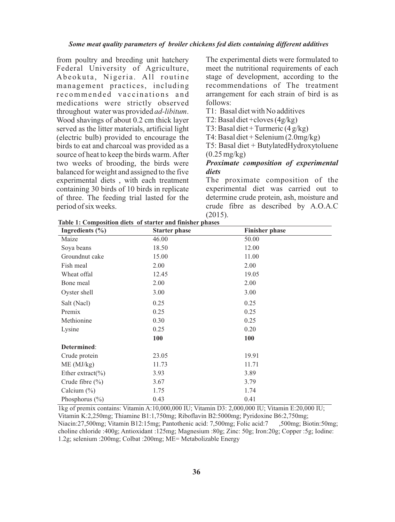from poultry and breeding unit hatchery Federal University of Agriculture, Abeokuta, Nigeria. All routine management practices, including recommended vaccinations and medications were strictly observed throughout water was provided *ad-libitum*. Wood shavings of about 0.2 cm thick layer served as the litter materials, artificial light (electric bulb) provided to encourage the birds to eat and charcoal was provided as a source of heat to keep the birds warm. After two weeks of brooding, the birds were balanced for weight and assigned to the five experimental diets , with each treatment containing 30 birds of 10 birds in replicate of three. The feeding trial lasted for the period of six weeks.

The experimental diets were formulated to meet the nutritional requirements of each stage of development, according to the recommendations of The treatment arrangement for each strain of bird is as follows:

T1: Basal diet with No additives

T2: Basal diet +cloves (4g/kg)

T3: Basal diet + Turmeric  $(4 g/kg)$ 

T4: Basal diet + Selenium (2.0mg/kg)

T5: Basal diet + ButylatedHydroxytoluene  $(0.25 \text{ mg/kg})$ 

### *Proximate composition of experimental diets*

The proximate composition of the experimental diet was carried out to determine crude protein, ash, moisture and crude fibre as described by A.O.A.C (2015).

| Ingredients $(\% )$   | <b>Starter phase</b> | <b>Finisher phase</b> |
|-----------------------|----------------------|-----------------------|
| Maize                 | 46.00                | 50.00                 |
| Soya beans            | 18.50                | 12.00                 |
| Groundnut cake        | 15.00                | 11.00                 |
| Fish meal             | 2.00                 | 2.00                  |
| Wheat offal           | 12.45                | 19.05                 |
| Bone meal             | 2.00                 | 2.00                  |
| Oyster shell          | 3.00                 | 3.00                  |
| Salt (Nacl)           | 0.25                 | 0.25                  |
| Premix                | 0.25                 | 0.25                  |
| Methionine            | 0.30                 | 0.25                  |
| Lysine                | 0.25                 | 0.20                  |
|                       | 100                  | 100                   |
| Determined:           |                      |                       |
| Crude protein         | 23.05                | 19.91                 |
| ME (MJ/kg)            | 11.73                | 11.71                 |
| Ether extract( $\%$ ) | 3.93                 | 3.89                  |
| Crude fibre $(\% )$   | 3.67                 | 3.79                  |
| Calcium $(\% )$       | 1.75                 | 1.74                  |
| Phosphorus $(\% )$    | 0.43                 | 0.41                  |

**Table 1: Composition diets of starter and finisher phases**

1kg of premix contains: Vitamin A:10,000,000 IU; Vitamin D3: 2,000,000 IU; Vitamin E:20,000 IU; Vitamin K:2,250mg; Thiamine B1:1,750mg; Riboflavin B2:5000mg; Pyridoxine B6:2,750mg; Niacin:27,500mg; Vitamin B12:15mg; Pantothenic acid: 7,500mg; Folic acid:7 choline chloride :400g; Antioxidant :125mg; Magnesium :80g; Zinc: 50g; Iron:20g; Copper :5g; Iodine: 1.2g; selenium :200mg; Colbat :200mg; ME= Metabolizable Energy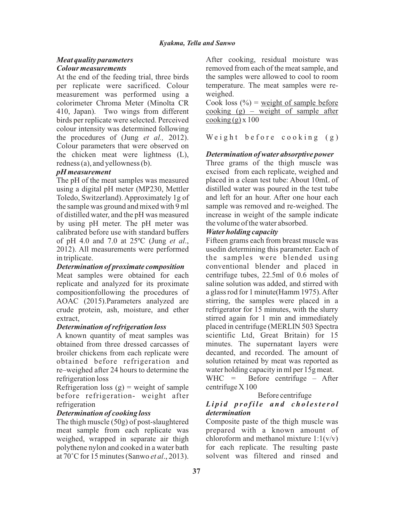# *Meat quality parameters Colour measurements*

At the end of the feeding trial, three birds per replicate were sacrificed. Colour measurement was performed using a colorimeter Chroma Meter (Minolta CR 410, Japan). Two wings from different birds per replicate were selected. Perceived colour intensity was determined following the procedures of (Jung *et al.,* 2012). Colour parameters that were observed on the chicken meat were lightness (L), redness (a), and yellowness (b).

## *pH measurement*

The pH of the meat samples was measured using a digital pH meter (MP230, Mettler Toledo, Switzerland). Approximately 1g of the sample was ground and mixed with 9 ml of distilled water, and the pH was measured by using pH meter. The pH meter was calibrated before use with standard buffers of pH 4.0 and 7.0 at 25ºC (Jung *et al*., 2012). All measurements were performed in triplicate.

## *Determination of proximate composition*

Meat samples were obtained for each replicate and analyzed for its proximate compositionfollowing the procedures of AOAC (2015).Parameters analyzed are crude protein, ash, moisture, and ether extract,

### *Determination of refrigeration loss*

A known quantity of meat samples was obtained from three dressed carcasses of broiler chickens from each replicate were obtained before refrigeration and re–weighed after 24 hours to determine the refrigeration loss

Refrigeration loss  $(g)$  = weight of sample before refrigeration- weight after refrigeration

### *Determination of cooking loss*

The thigh muscle (50g) of post-slaughtered meat sample from each replicate was weighed, wrapped in separate air thigh polythene nylon and cooked in a water bath at 70°C for 15 minutes (Sanwo *et al*., 2013).

After cooking, residual moisture was removed from each of the meat sample, and the samples were allowed to cool to room temperature. The meat samples were reweighed.

Cook loss  $(\% )$  = weight of sample before cooking  $(g)$  – weight of sample after  $\cosh($ g $)$  x 100

Weight before  $\cosh n g$  (g)

## *Determination of water absorptive power*

Three grams of the thigh muscle was excised from each replicate, weighed and placed in a clean test tube: About 10mL of distilled water was poured in the test tube and left for an hour. After one hour each sample was removed and re-weighed. The increase in weight of the sample indicate the volume of the water absorbed.

### *Water holding capacity*

Fifteen grams each from breast muscle was usedin determining this parameter. Each of the samples were blended using conventional blender and placed in centrifuge tubes, 22.5ml of 0.6 moles of saline solution was added, and stirred with a glass rod for 1 minute(Hamm 1975). After stirring, the samples were placed in a refrigerator for 15 minutes, with the slurry stirred again for 1 min and immediately placed in centrifuge (MERLIN 503 Spectra scientific Ltd, Great Britain) for 15 minutes. The supernatant layers were decanted, and recorded. The amount of solution retained by meat was reported as water holding capacity in ml per 15g meat.

WHC = Before centrifuge – After centrifuge X 100

### Before centrifuge

#### *Li p i d p r o fi l e a n d c h o l e st e r o l determination*

Composite paste of the thigh muscle was prepared with a known amount of chloroform and methanol mixture  $1:1(v/v)$ for each replicate. The resulting paste solvent was filtered and rinsed and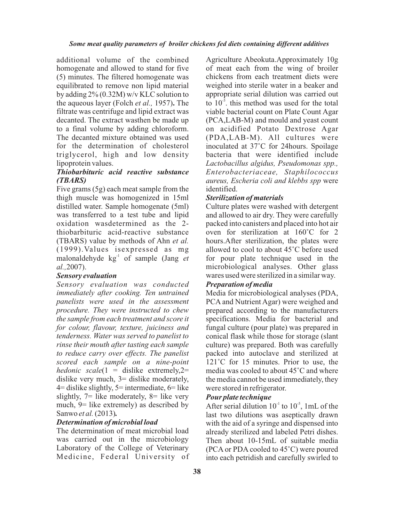additional volume of the combined homogenate and allowed to stand for five (5) minutes. The filtered homogenate was equilibrated to remove non lipid material by adding 2% (0.32M) w/v KLC solution to the aqueous layer (Folch *et al.,* 1957)**.** The filtrate was centrifuge and lipid extract was decanted. The extract wasthen be made up to a final volume by adding chloroform. The decanted mixture obtained was used for the determination of cholesterol triglycerol, high and low density lipoprotein values.

### *Thiobarbituric acid reactive substance (TBARS)*

Five grams (5g) each meat sample from the thigh muscle was homogenized in 15ml distilled water. Sample homogenate (5ml) was transferred to a test tube and lipid oxidation wasdetermined as the 2 thiobarbituric acid-reactive substance (TBARS) value by methods of Ahn *et al.*  (1999).Values isexpressed as mg malonaldehyde  $kg<sup>-1</sup>$  of sample (Jang *et al.,*2007).

#### *Sensory evaluation*

*Sensory evaluation was conducted immediately after cooking. Ten untrained panelists were used in the assessment procedure. They were instructed to chew the sample from each treatment and score it for colour, flavour, texture, juiciness and tenderness. Water was served to panelist to rinse their mouth after tasting each sample to reduce carry over effects. The panelist scored each sample on a nine-point hedonic scale*(1 = dislike extremely,2= dislike very much,  $3=$  dislike moderately,  $4=$  dislike slightly,  $5=$  intermediate,  $6=$  like slightly,  $7 =$  like moderately,  $8 =$  like very much, 9= like extremely) as described by Sanwo *et al.* (2013)*.*

# *Determination of microbial load*

The determination of meat microbial load was carried out in the microbiology Laboratory of the College of Veterinary Medicine, Federal University of Agriculture Abeokuta.Approximately 10g of meat each from the wing of broiler chickens from each treatment diets were weighed into sterile water in a beaker and appropriate serial dilution was carried out to  $10^{-5}$ , this method was used for the total viable bacterial count on Plate Count Agar (PCA,LAB-M) and mould and yeast count on acidified Potato Dextrose Agar (PDA,LAB-M). All cultures were inoculated at 37°C for 24hours. Spoilage bacteria that were identified include *Lactobacillus algidus, Pseudomonas spp., Enterobacteriaceae, Staphilococcus aureus, Escheria coli and klebbs spp* were identified.

#### *Sterilization of materials*

Culture plates were washed with detergent and allowed to air dry. They were carefully packed into canisters and placed into hot air oven for sterilization at 160°C for 2 hours.After sterilization, the plates were allowed to cool to about 45°C before used for pour plate technique used in the microbiological analyses. Other glass wares used were sterilized in a similar way.

#### *Preparation of media*

Media for microbiological analyses (PDA, PCA and Nutrient Agar) were weighed and prepared according to the manufacturers specifications. Media for bacterial and fungal culture (pour plate) was prepared in conical flask while those for storage (slant culture) was prepared. Both was carefully packed into autoclave and sterilized at 121°C for 15 minutes. Prior to use, the media was cooled to about 45°C and where the media cannot be used immediately, they were stored in refrigerator.

#### *Pour plate technique*

After serial dilution  $10^{-1}$  to  $10^{-5}$ , 1mL of the last two dilutions was aseptically drawn with the aid of a syringe and dispensed into already sterilized and labeled Petri dishes. Then about 10-15mL of suitable media (PCA or PDA cooled to 45°C) were poured into each petridish and carefully swirled to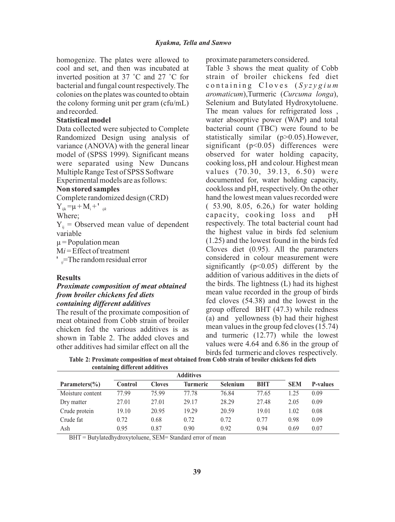homogenize. The plates were allowed to cool and set, and then was incubated at inverted position at 37 °C and 27 °C for bacterial and fungal count respectively. The colonies on the plates was counted to obtain the colony forming unit per gram (cfu/mL) and recorded.

### **Statistical model**

Data collected were subjected to Complete Randomized Design using analysis of variance (ANOVA) with the general linear model of (SPSS 1999). Significant means were separated using New Duncans Multiple Range Test of SPSS Software Experimental models are as follows:

#### **Non stored samples**

Complete randomized design (CRD)

 $Y_{ijk} = \mu + M_i + P_{ijk}$ 

Where;

 $Y_{ij}$  = Observed mean value of dependent variable

 $\mu$  = Population mean

M*i* = Effect of treatment

<sup>*i*</sup>  $\equiv$ The random residual error

#### **Results**

### *Proximate composition of meat obtained from broiler chickens fed diets containing different additives*

The result of the proximate composition of meat obtained from Cobb strain of broiler chicken fed the various additives is as shown in Table 2. The added cloves and other additives had similar effect on all the

proximate parameters considered.

Table 3 shows the meat quality of Cobb strain of broiler chickens fed diet containing Cloves (Syzygium) *aromaticum*),Turmeric (*Curcuma longa*), Selenium and Butylated Hydroxytoluene. The mean values for refrigerated loss , water absorptive power (WAP) and total bacterial count (TBC) were found to be statistically similar (p>0.05).However, significant ( $p<0.05$ ) differences were observed for water holding capacity, cooking loss, pH and colour. Highest mean values (70.30, 39.13, 6.50) were documented for, water holding capacity, cookloss and pH, respectively. On the other hand the lowest mean values recorded were ( 53.90, 8.05, 6.26,) for water holding capacity, cooking loss and pH respectively. The total bacterial count had the highest value in birds fed selenium (1.25) and the lowest found in the birds fed Cloves diet (0.95). All the parameters considered in colour measurement were significantly  $(p<0.05)$  different by the addition of various additives in the diets of the birds. The lightness (L) had its highest mean value recorded in the group of birds fed cloves (54.38) and the lowest in the group offered BHT (47.3) while redness (a) and yellowness (b) had their highest mean values in the group fed cloves (15.74) and turmeric (12.77) while the lowest values were 4.64 and 6.86 in the group of birds fed turmeric and cloves respectively.

**Table 2: Proximate composition of meat obtained from Cobb strain of broiler chickens fed diets containing different additives**

|                          | <b>Additives</b> |               |                 |                 |            |            |                 |
|--------------------------|------------------|---------------|-----------------|-----------------|------------|------------|-----------------|
| Parameters $\frac{6}{6}$ | <b>Control</b>   | <b>Cloves</b> | <b>Turmeric</b> | <b>Selenium</b> | <b>BHT</b> | <b>SEM</b> | <b>P-values</b> |
| Moisture content         | 77.99            | 75.99         | 77.78           | 76.84           | 77.65      | 1.25       | 0.09            |
| Dry matter               | 27.01            | 27.01         | 29.17           | 28.29           | 27.48      | 2.05       | 0.09            |
| Crude protein            | 19.10            | 20.95         | 19.29           | 20.59           | 19.01      | 1.02       | 0.08            |
| Crude fat                | 0.72             | 0.68          | 0.72            | 0.72            | 0.77       | 0.98       | 0.09            |
| Ash                      | 0.95             | 0.87          | 0.90            | 0.92            | 0.94       | 0.69       | 0.07            |

BHT = Butylatedhydroxytoluene, SEM= Standard error of mean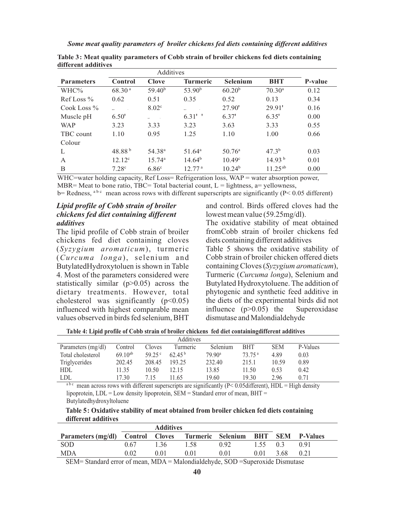| <b>Parameters</b> | <b>Control</b>     | Clove              | <b>Turmeric</b>    | <b>Selenium</b>    | <b>BHT</b>         | P-value |
|-------------------|--------------------|--------------------|--------------------|--------------------|--------------------|---------|
| WHC%              | 68.30 <sup>a</sup> | 59.40 <sup>b</sup> | 53.90 <sup>b</sup> | 60.20 <sup>b</sup> | 70.30 <sup>a</sup> | 0.12    |
| $Ref Loss \%$     | 0.62               | 0.51               | 0.35               | 0.52               | 0.13               | 0.34    |
| Cook Loss $\%$    |                    | 8.02 <sup>c</sup>  | 38.13              | 27.90'             | 29.91'             | 0.16    |
| Muscle pH         | 6.50'              | $\omega$           | $6.31$ ''          | 6.37'              | 6.35'              | 0.00    |
| <b>WAP</b>        | 3.23               | 3.33               | 3.23               | 3.63               | 3.33               | 0.55    |
| TBC count         | 1.10               | 0.95               | 1.25               | 1.10               | 1.00               | 0.66    |
| Colour            |                    |                    |                    |                    |                    |         |
| L                 | 48.88 <sup>b</sup> | 54.38 <sup>a</sup> | $51.64^a$          | $50.76^{\circ}$    | $47.3^{b}$         | 0.03    |
| A                 | $12.12^c$          | $15.74^{\rm a}$    | $14.64^{b}$        | $10.49^{\circ}$    | 14.93 <sup>b</sup> | 0.01    |
| B                 | 7.28 <sup>c</sup>  | 6.86 <sup>c</sup>  | 12.77 <sup>a</sup> | 10.24 <sup>b</sup> | $11.25^{ab}$       | 0.00    |

**Table 3: Meat quality parameters of Cobb strain of broiler chickens fed diets containing different additives**

WHC=water holding capacity, Ref Loss= Refrigeration loss, WAP = water absorption power,

MBR= Meat to bone ratio, TBC= Total bacterial count,  $L =$  lightness, a= yellowness,

 $b=$  Redness, <sup>a b c</sup> mean across rows with different superscripts are significantly (P< 0.05 different)

### *Lipid profile of Cobb strain of broiler chickens fed diet containing different additives*

The lipid profile of Cobb strain of broiler chickens fed diet containing cloves (*Syzygium aromaticum*), turmeric (*Curcuma longa*), selenium and ButylatedHydroxytoluen is shown in Table 4. Most of the parameters considered were statistically similar (p>0.05) across the dietary treatments. However, total cholesterol was significantly  $(p<0.05)$ influenced with highest comparable mean values observed in birds fed selenium, BHT

and control. Birds offered cloves had the lowest mean value (59.25mg/dl).

The oxidative stability of meat obtained fromCobb strain of broiler chickens fed diets containing different additives Table 5 shows the oxidative stability of Cobb strain of broiler chicken offered diets containing Cloves (*Syzygium aromaticum*), Turmeric (*Curcuma longa*), Selenium and Butylated Hydroxytoluene. The addition of phytogenic and synthetic feed additive in the diets of the experimental birds did not influence  $(p>0.05)$  the Superoxidase dismutase and Malondialdehyde

**Table 4: Lipid profile of Cobb strain of broiler chickens fed diet containingdifferent additives**

| Additives          |              |                 |                    |                    |                    |            |          |  |
|--------------------|--------------|-----------------|--------------------|--------------------|--------------------|------------|----------|--|
| Parameters (mg/dl) | Control      | Cloves          | Turmeric           | <b>Selenium</b>    | <b>BHT</b>         | <b>SEM</b> | P-Values |  |
| Total cholesterol  | $69.10^{ab}$ | 59.25 $\degree$ | 62.45 <sup>b</sup> | 79.90 <sup>a</sup> | 73.75 <sup>a</sup> | 4.89       | 0.03     |  |
| Triglycerides      | 202.45       | 208.45          | 193.25             | 232.40             | 215.1              | 10.59      | 0.89     |  |
| <b>HDL</b>         | 11.35        | 10.50           | 2.15               | 13.85              | 11.50              | 0.53       | 0.42     |  |
| LDL                | 17.30        | 7.15            | 1.65               | 19.60              | 19.30              | 2.96       | 0.71     |  |

 $a^{b c}$  mean across rows with different superscripts are significantly (P< 0.05different), HDL = High density lipoprotein,  $LDL = Low$  density lipoprotein,  $SEM = Standard$  error of mean,  $BHT =$ Butylatedhydroxyltoluene

**Table 5: Oxidative stability of meat obtained from broiler chicken fed diets containing different additives**

| <b>Additives</b>                                    |        |      |      |      |               |      |                         |  |
|-----------------------------------------------------|--------|------|------|------|---------------|------|-------------------------|--|
| Parameters (mg/dl) Control Cloves Turmeric Selenium |        |      |      |      |               |      | <b>BHT SEM P-Values</b> |  |
| <b>SOD</b>                                          | 0.67   | 136  | 1.58 | 0.92 | $1.55 \t 0.3$ |      | 0 9 1                   |  |
| <b>MDA</b>                                          | 0.02   | 0.01 | 0.01 | 0.01 | 0.01          | 3.68 | 0.21                    |  |
| _______                                             | $\sim$ |      |      |      |               |      |                         |  |

SEM= Standard error of mean, MDA = Malondialdehyde, SOD =Superoxide Dismutase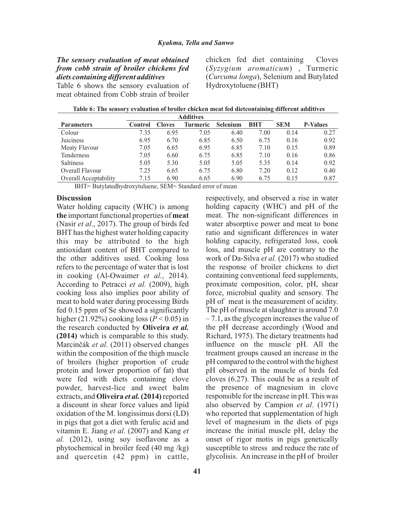## *The sensory evaluation of meat obtained from cobb strain of broiler chickens fed diets containing different additives*

Table 6 shows the sensory evaluation of meat obtained from Cobb strain of broiler

chicken fed diet containing Cloves (*Syzygium aromaticum*) , Turmeric (*Curcuma longa*), Selenium and Butylated Hydroxytoluene (BHT)

respectively, and observed a rise in water holding capacity (WHC) and pH of the

| Table 6: The sensory evaluation of broiler chicken meat fed dietcontaining different additives |
|------------------------------------------------------------------------------------------------|
| $\triangle$ and $\triangle$ and $\triangle$                                                    |

|                              | Auditives |               |          |                 |            |            |                 |
|------------------------------|-----------|---------------|----------|-----------------|------------|------------|-----------------|
| <b>Parameters</b>            | Control   | <b>Cloves</b> | Turmeric | <b>Selenium</b> | <b>BHT</b> | <b>SEM</b> | <b>P-Values</b> |
| Colour                       | 7.35      | 6.95          | 7.05     | 6.40            | 7.00       | 0.14       | 0.27            |
| Juiciness                    | 6.95      | 6.70          | 6.85     | 6.50            | 6.75       | 0.16       | 0.92            |
| Meaty Flavour                | 7.05      | 6.65          | 6.95     | 6.85            | 7.10       | 0.15       | 0.89            |
| Tenderness                   | 7.05      | 6.60          | 6.75     | 6.85            | 7.10       | 0.16       | 0.86            |
| <b>Saltiness</b>             | 5.05      | 5.30          | 5.05     | 5.05            | 5.35       | 0.14       | 0.92            |
| Overall Flavour              | 7.25      | 6.65          | 6.75     | 6.80            | 7.20       | 0.12       | 0.40            |
| <b>Overall Acceptability</b> | 7.15      | 6.90          | 6.65     | 6.90            | 6.75       | 0.15       | 0.87            |

BHT= Butylatedhydroxytuluene, SEM= Standard error of mean

#### **Discussion**

Water holding capacity (WHC) is among **the** important functional properties of **meat** (Nasir *et al*., 2017). The group of birds fed BHThas the highest water holding capacity this may be attributed to the high antioxidant content of BHT compared to the other additives used. Cooking loss refers to the percentage of water that is lost in cooking (Al-Owaimer *et al.*, 2014). According to Petracci *et al.* (2009), high cooking loss also implies poor ability of meat to hold water during processing Birds fed 0.15 ppm of Se showed a significantly higher  $(21.92\%)$  cooking loss  $(P < 0.05)$  in the research conducted by **Oliveira** *et al.*  **(2014)** which is comparable to this study. Marcinèák *et al*. (2011) observed changes within the composition of the thigh muscle of broilers (higher proportion of crude protein and lower proportion of fat) that were fed with diets containing clove powder, harvest-lice and sweet balm extracts, and **Oliveira** *et al.* **(2014)**reported a discount in shear force values and lipid oxidation of the M. longissimus dorsi (LD) in pigs that got a diet with ferulic acid and vitamin E. Jiang *et al*. (2007) and Kang *et al.* (2012), using soy isoflavone as a phytochemical in broiler feed (40 mg /kg) and quercetin (42 ppm) in cattle,

meat. The non-significant differences in water absorptive power and meat to bone ratio and significant differences in water holding capacity, refrigerated loss, cook loss, and muscle pH are contrary to the work of Da-Silva *et al.* (2017) who studied the response of broiler chickens to diet containing conventional feed supplements, proximate composition, color, pH, shear force, microbial quality and sensory. The pH of meat is the measurement of acidity. The pH of muscle at slaughter is around 7.0 – 7.1, as the glycogen increases the value of the pH decrease accordingly (Wood and Richard, 1975). The dietary treatments had influence on the muscle pH. All the treatment groups caused an increase in the pH compared to the control with the highest pH observed in the muscle of birds fed cloves (6.27). This could be as a result of the presence of magnesium in clove responsible for the increase in pH. This was also observed by Campion *et al*. (1971) who reported that supplementation of high level of magnesium in the diets of pigs increase the initial muscle pH, delay the onset of rigor motis in pigs genetically susceptible to stress and reduce the rate of glycolisis. An increase in the pH of broiler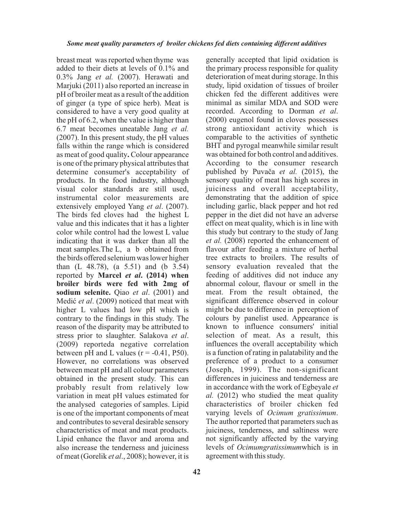breast meat was reported when thyme was added to their diets at levels of 0.1% and 0.3% Jang *et al.* (2007). Herawati and Marjuki (2011) also reported an increase in pH of broiler meat as a result of the addition of ginger (a type of spice herb). Meat is considered to have a very good quality at the pH of 6.2, when the value is higher than 6.7 meat becomes uneatable Jang *et al.* (2007). In this present study, the pH values falls within the range which is considered as meat of good quality**.** Colour appearance is one of the primary physical attributes that determine consumer's acceptability of products. In the food industry, although visual color standards are still used, instrumental color measurements are extensively employed Yang *et al*. (2007). The birds fed cloves had the highest L value and this indicates that it has a lighter color while control had the lowest L value indicating that it was darker than all the meat samples.The L, a b obtained from the birds offered selenium was lower higher than (L 48.78), (a 5.51) and (b 3.54) reported by **Marcel** *et al***. (2014) when broiler birds were fed with 2mg of sodium selenite.** Qiao *et al*. (2001) and Medić *et al.* (2009) noticed that meat with higher L values had low pH which is contrary to the findings in this study. The reason of the disparity may be attributed to stress prior to slaughter. Salakova *et al*. (2009) reporteda negative correlation between pH and L values  $(r = -0.41, P50)$ . However, no correlations was observed between meat pH and all colour parameters obtained in the present study. This can probably result from relatively low variation in meat pH values estimated for the analysed categories of samples. Lipid is one of the important components of meat and contributes to several desirable sensory characteristics of meat and meat products. Lipid enhance the flavor and aroma and also increase the tenderness and juiciness of meat (Gorelik *et al*., 2008); however, it is

**42**

generally accepted that lipid oxidation is the primary process responsible for quality deterioration of meat during storage. In this study, lipid oxidation of tissues of broiler chicken fed the different additives were minimal as similar MDA and SOD were recorded. According to Dorman *et al*. (2000) eugenol found in cloves possesses strong antioxidant activity which is comparable to the activities of synthetic BHT and pyrogal meanwhile similar result was obtained for both control and additives. According to the consumer research published by Puvaèa *et al.* (2015), the sensory quality of meat has high scores in juiciness and overall acceptability, demonstrating that the addition of spice including garlic, black pepper and hot red pepper in the diet did not have an adverse effect on meat quality, which is in line with this study but contrary to the study of Jang *et al.* (2008) reported the enhancement of flavour after feeding a mixture of herbal tree extracts to broilers. The results of sensory evaluation revealed that the feeding of additives did not induce any abnormal colour, flavour or smell in the meat. From the result obtained, the significant difference observed in colour might be due to difference in perception of colours by panelist used. Appearance is known to influence consumers' initial selection of meat. As a result, this influences the overall acceptability which is a function of rating in palatability and the preference of a product to a consumer (Joseph, 1999). The non-significant differences in juiciness and tenderness are in accordance with the work of Egbeyale *et al.* (2012) who studied the meat quality characteristics of broiler chicken fed varying levels of *Ocimum gratissimum*. The author reported that parameters such as juiciness, tenderness, and saltiness were not significantly affected by the varying levels of *Ocimumgratissimum*which is in agreement with this study.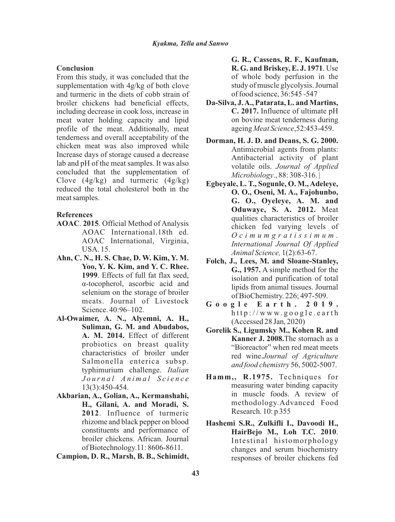#### **Conclusion**

From this study, it was concluded that the supplementation with 4g/kg of both clove and turmeric in the diets of cobb strain of broiler chickens had beneficial effects, including decrease in cook loss, increase in meat water holding capacity and lipid profile of the meat. Additionally, meat tenderness and overall acceptability of the chicken meat was also improved while Increase days of storage caused a decrease lab and pH of the meat samples. It was also concluded that the supplementation of Clove  $(4g/kg)$  and turmeric  $(4g/kg)$ reduced the total cholesterol both in the meat samples.

### **References**

- **AOAC**. **2015**. Official Method of Analysis AOAC International.18th ed. AOAC International, Virginia, USA. 15.
- **Ahn, C. N., H. S. Chae, D. W. Kim, Y. M. Yoo, Y. K. Kim, and Y. C. Rhee. 1999**. Effects of full fat flax seed, á-tocopherol, ascorbic acid and selenium on the storage of broiler meats. Journal of Livestock Science. 40:96–102.
- **Al-Owaimer, A. N., Alyemni, A. H., Suliman, G. M. and Abudabos, A. M. 2014.** Effect of different probiotics on breast quality characteristics of broiler under Salmonella enterica subsp. typhimurium challenge. *Italian J o u r n a l A n i m a l S c i e n c e* 13(3):450-454.
- **Akbarian, A., Golian, A., Kermanshahi, H., Gilani, A. and Moradi, S. 2012**. Influence of turmeric rhizome and black pepper on blood constituents and performance of broiler chickens. African. Journal of Biotechnology.11: 8606-8611.

**Campion, D. R., Marsh, B. B., Schimidt,** 

**G. R., Cassens, R. F., Kaufman, R. G. and Briskey, E. J. 1971**. Use of whole body perfusion in the study of muscle glycolysis. Journal of food science, 36:545 -547

- **Da-Silva, J. A., Patarata, L. and Martins, C. 2017.** Influence of ultimate pH on bovine meat tenderness during ageing *Meat Science*,52:453-459.
- **Dorman, H. J. D. and Deans, S. G. 2000.**  Antimicrobial agents from plants: Antibacterial activity of plant volatile oils. *Journal of Applied Microbiology*., 88: 308-316. |
- **Egbeyale, L. T., Sogunle, O. M., Adeleye, O. O., Oseni, M. A., Fajohunbo, G. O., Oyeleye, A. M. and Oduwaye, S. A. 2012.** Meat qualities characteristics of broiler chicken fed varying levels of *O c i m u m g r a t i s s i m u m . International Journal Of Applied Animal Science,* 1(2):63-67.
- **Folch, J., Lees, M. and Sloane-Stanley, G., 1957.** A simple method for the isolation and purification of total lipids from animal tissues. Journal of BioChemistry. 226; 497-509.
- **G o o g l e E a r t h . 2 0 1 9 .**  $http://www.google.earth$ (Accessed 28 Jan, 2020)
- **Gorelik S., Ligumsky M., Kohen R. and Kanner J. 2008.**The stomach as a "Bioreactor" when red meat meets red wine.*Journal of Agriculture and food chemistry* 56, 5002-5007.
- **Hamm,, R.1975.** Techniques for measuring water binding capacity in muscle foods. A review of methodology.Advanced Food Research. 10: p 355
- **Hashemi S.R., Zulkifli I., Davoodi H., HairBejo M., Loh T.C. 2010**. Intestinal histomorphology changes and serum biochemistry responses of broiler chickens fed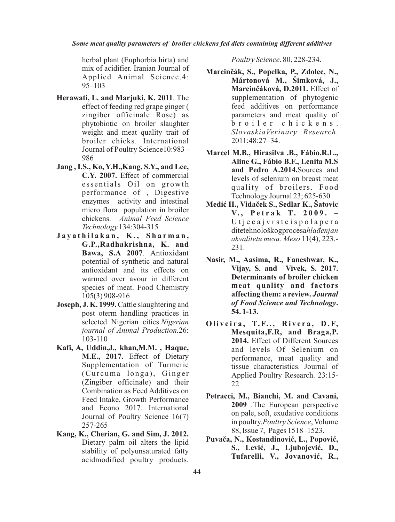herbal plant (Euphorbia hirta) and mix of acidifier. Iranian Journal of Applied Animal Science.4: 95–103

- **Herawati, L. and Marjuki, K. 2011**. The effect of feeding red grape ginger ( zingiber officinale Rose) as phytobiotic on broiler slaughter weight and meat quality trait of broiler chicks. International Journal of Poultry Science10:983 - 986
- **Jang , I.S., Ko, Y.H.,Kang, S.Y., and Lee, C.Y. 2007.** Effect of commercial essentials Oil on growth performance of , Digestive enzymes activity and intestinal micro flora population in broiler chickens. *Animal Feed Science Technology* 134:304-315
- **J a y a t h i l a k a n , K . , S h a r m a n , G.P.,Radhakrishna, K. and Bawa, S.A 2007**. Antioxidant potential of synthetic and natural antioxidant and its effects on warmed over avour in different species of meat. Food Chemistry 105(3) 908-916
- **Joseph, J. K. 1999.** Cattle slaughtering and post oterm handling practices in selected Nigerian cities.*Nigerian journal of Animal Production.*26: 103-110
- **Kafi, A, Uddin,J., khan,M.M. , Haque, M.E., 2017.** Effect of Dietary Supplementation of Turmeric (Curcuma longa), Ginger (Zingiber officinale) and their Combination as Feed Additives on Feed Intake, Growth Performance and Econo 2017. International Journal of Poultry Science 16(7) 257-265
- **Kang, K., Cherian, G. and Sim, J. 2012.** Dietary palm oil alters the lipid stability of polyunsaturated fatty acidmodified poultry products.

*Poultry Science*. 80, 228-234.

- **Marcinèák, S., Popelka, P., Zdolec, N., Mártonová M., Šimková, J., Marcinèáková, D.2011.** Effect of supplementation of phytogenic feed additives on performance parameters and meat quality of b r o i l e r c h i c k e n s . *SlovaskiaVerinary Research.* 2011;48:27–34.
- **Marcel M.B., Hirasilva .B., Fábio.R.L., Aline G., Fábio B.F., Lenita M.S and Pedro A.2014.**Sources and levels of selenium on breast meat quality of broilers. Food Technology Journal 23; 625-630
- **Mediæ H., Vidaèek S., Sedlar K., Šatovic V. , P e t r a k T. 2 0 0 9 .** – U t j e c a j v r s t e i s p o l a p e r a ditetehnološkogprocesa*hlaðenjan akvalitetu mesa. Meso* 11(4), 223.- 231.
- **Nasir, M., Aasima, R., Faneshwar, K., Vijay, S. and Vivek, S. 2017. Determinants of broiler chicken meat quality and factors affecting them: a review.** *Journal of Food Science and Technology***. 54. 1-13.**
- **O l i v e i r a , T. F. . , R i v e r a , D . F, Mesquita,F.R, and Braga,P. 2014.** Effect of Different Sources and levels Of Selenium on performance, meat quality and tissue characteristics. Journal of Applied Poultry Research. 23:15- 22
- **Petracci, M., Bianchi, M. and Cavani, 2009** .The European perspective on pale, soft, exudative conditions in poultry.*Poultry Science*, Volume 88, Issue 7, Pages 1518–1523.
- Puvača, N., Kostandinović, L., Popović, S., Lević, J., Ljubojević, D., **Tufarelli, V., Jovanoviæ, R.,**